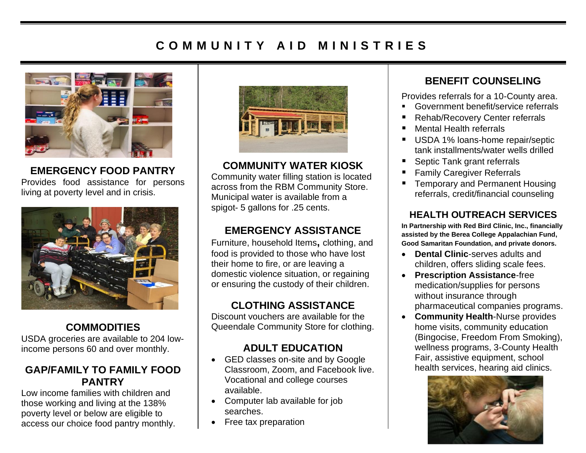# **C O M M U N I T Y A I D M I N I S T R I E S**



**EMERGENCY FOOD PANTRY** Provides food assistance for persons living at poverty level and in crisis.



#### **COMMODITIES**

USDA groceries are available to 204 lowincome persons 60 and over monthly.

#### **GAP/FAMILY TO FAMILY FOOD PANTRY**

Low income families with children and those working and living at the 138% poverty level or below are eligible to access our choice food pantry monthly.



#### **COMMUNITY WATER KIOSK**

Community water filling station is located across from the RBM Community Store. Municipal water is available from a spigot- 5 gallons for .25 cents.

### **EMERGENCY ASSISTANCE**

Furniture, household Items**,** clothing, and food is provided to those who have lost their home to fire, or are leaving a domestic violence situation, or regaining or ensuring the custody of their children.

# **CLOTHING ASSISTANCE**

Discount vouchers are available for the Queendale Community Store for clothing.

### **ADULT EDUCATION**

- GED classes on-site and by Google Classroom, Zoom, and Facebook live. Vocational and college courses available.
- Computer lab available for job searches.
- Free tax preparation

### **BENEFIT COUNSELING**

Provides referrals for a 10-County area.

- Government benefit/service referrals
- Rehab/Recovery Center referrals
- Mental Health referrals
- USDA 1% loans-home repair/septic tank installments/water wells drilled
- Septic Tank grant referrals
- **Family Caregiver Referrals**
- Temporary and Permanent Housing referrals, credit/financial counseling

#### **HEALTH OUTREACH SERVICES**

**In Partnership with Red Bird Clinic, Inc., financially assisted by the Berea College Appalachian Fund, Good Samaritan Foundation, and private donors.**

- **Dental Clinic**-serves adults and children, offers sliding scale fees.
- **Prescription Assistance**-free medication/supplies for persons without insurance through pharmaceutical companies programs.
- **Community Health**-Nurse provides home visits, community education (Bingocise, Freedom From Smoking), wellness programs, 3-County Health Fair, assistive equipment, school health services, hearing aid clinics.